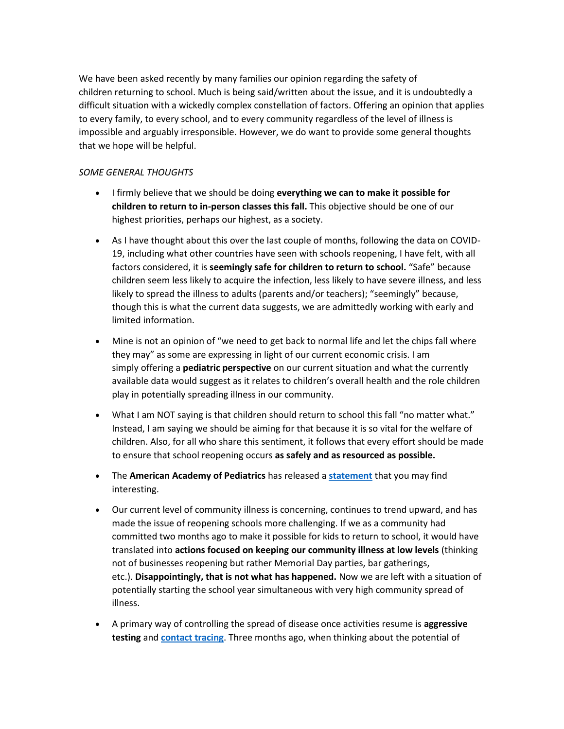We have been asked recently by many families our opinion regarding the safety of children returning to school. Much is being said/written about the issue, and it is undoubtedly a difficult situation with a wickedly complex constellation of factors. Offering an opinion that applies to every family, to every school, and to every community regardless of the level of illness is impossible and arguably irresponsible. However, we do want to provide some general thoughts that we hope will be helpful.

## *SOME GENERAL THOUGHTS*

- I firmly believe that we should be doing **everything we can to make it possible for children to return to in-person classes this fall.** This objective should be one of our highest priorities, perhaps our highest, as a society.
- As I have thought about this over the last couple of months, following the data on COVID-19, including what other countries have seen with schools reopening, I have felt, with all factors considered, it is **seemingly safe for children to return to school.** "Safe" because children seem less likely to acquire the infection, less likely to have severe illness, and less likely to spread the illness to adults (parents and/or teachers); "seemingly" because, though this is what the current data suggests, we are admittedly working with early and limited information.
- Mine is not an opinion of "we need to get back to normal life and let the chips fall where they may" as some are expressing in light of our current economic crisis. I am simply offering a **pediatric perspective** on our current situation and what the currently available data would suggest as it relates to children's overall health and the role children play in potentially spreading illness in our community.
- What I am NOT saying is that children should return to school this fall "no matter what." Instead, I am saying we should be aiming for that because it is so vital for the welfare of children. Also, for all who share this sentiment, it follows that every effort should be made to ensure that school reopening occurs **as safely and as resourced as possible.**
- The **American Academy of Pediatrics** has released a **[statement](https://middletonpediatrics.us19.list-manage.com/track/click?u=d2505a5327cd8aac04fa079fc&id=233bb1f0eb&e=0cc5eb988b)** that you may find interesting.
- Our current level of community illness is concerning, continues to trend upward, and has made the issue of reopening schools more challenging. If we as a community had committed two months ago to make it possible for kids to return to school, it would have translated into **actions focused on keeping our community illness at low levels** (thinking not of businesses reopening but rather Memorial Day parties, bar gatherings, etc.). **Disappointingly, that is not what has happened.** Now we are left with a situation of potentially starting the school year simultaneous with very high community spread of illness.
- A primary way of controlling the spread of disease once activities resume is **aggressive testing** and **[contact tracing](https://middletonpediatrics.us19.list-manage.com/track/click?u=d2505a5327cd8aac04fa079fc&id=8fce58ebe7&e=0cc5eb988b)**. Three months ago, when thinking about the potential of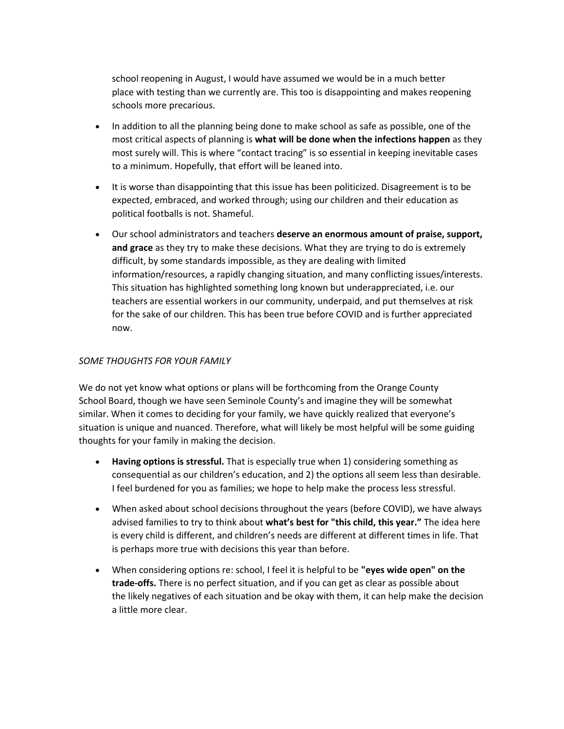school reopening in August, I would have assumed we would be in a much better place with testing than we currently are. This too is disappointing and makes reopening schools more precarious.

- In addition to all the planning being done to make school as safe as possible, one of the most critical aspects of planning is **what will be done when the infections happen** as they most surely will. This is where "contact tracing" is so essential in keeping inevitable cases to a minimum. Hopefully, that effort will be leaned into.
- It is worse than disappointing that this issue has been politicized. Disagreement is to be expected, embraced, and worked through; using our children and their education as political footballs is not. Shameful.
- Our school administrators and teachers **deserve an enormous amount of praise, support, and grace** as they try to make these decisions. What they are trying to do is extremely difficult, by some standards impossible, as they are dealing with limited information/resources, a rapidly changing situation, and many conflicting issues/interests. This situation has highlighted something long known but underappreciated, i.e. our teachers are essential workers in our community, underpaid, and put themselves at risk for the sake of our children. This has been true before COVID and is further appreciated now.

## *SOME THOUGHTS FOR YOUR FAMILY*

We do not yet know what options or plans will be forthcoming from the Orange County School Board, though we have seen Seminole County's and imagine they will be somewhat similar. When it comes to deciding for your family, we have quickly realized that everyone's situation is unique and nuanced. Therefore, what will likely be most helpful will be some guiding thoughts for your family in making the decision.

- **Having options is stressful.** That is especially true when 1) considering something as consequential as our children's education, and 2) the options all seem less than desirable. I feel burdened for you as families; we hope to help make the process less stressful.
- When asked about school decisions throughout the years (before COVID), we have always advised families to try to think about **what's best for "this child, this year."** The idea here is every child is different, and children's needs are different at different times in life. That is perhaps more true with decisions this year than before.
- When considering options re: school, I feel it is helpful to be **"eyes wide open" on the trade-offs.** There is no perfect situation, and if you can get as clear as possible about the likely negatives of each situation and be okay with them, it can help make the decision a little more clear.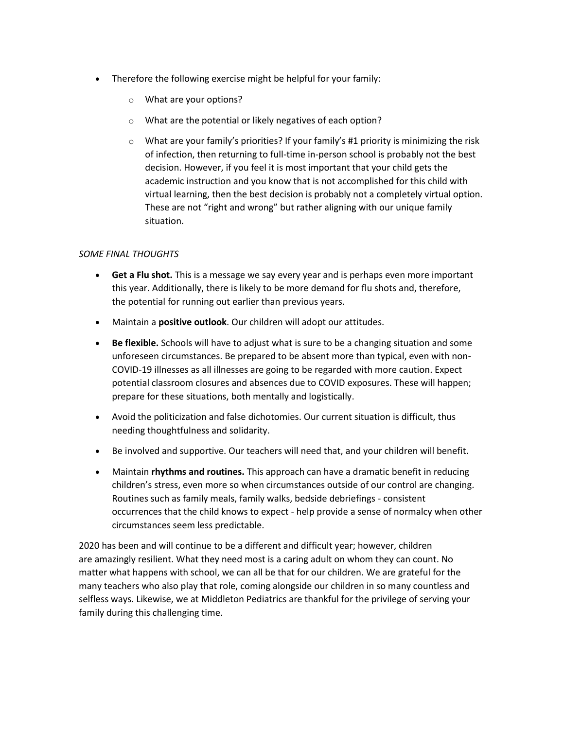- Therefore the following exercise might be helpful for your family:
	- o What are your options?
	- o What are the potential or likely negatives of each option?
	- $\circ$  What are your family's priorities? If your family's #1 priority is minimizing the risk of infection, then returning to full-time in-person school is probably not the best decision. However, if you feel it is most important that your child gets the academic instruction and you know that is not accomplished for this child with virtual learning, then the best decision is probably not a completely virtual option. These are not "right and wrong" but rather aligning with our unique family situation.

## *SOME FINAL THOUGHTS*

- **Get a Flu shot.** This is a message we say every year and is perhaps even more important this year. Additionally, there is likely to be more demand for flu shots and, therefore, the potential for running out earlier than previous years.
- Maintain a **positive outlook**. Our children will adopt our attitudes.
- **Be flexible.** Schools will have to adjust what is sure to be a changing situation and some unforeseen circumstances. Be prepared to be absent more than typical, even with non-COVID-19 illnesses as all illnesses are going to be regarded with more caution. Expect potential classroom closures and absences due to COVID exposures. These will happen; prepare for these situations, both mentally and logistically.
- Avoid the politicization and false dichotomies. Our current situation is difficult, thus needing thoughtfulness and solidarity.
- Be involved and supportive. Our teachers will need that, and your children will benefit.
- Maintain **rhythms and routines.** This approach can have a dramatic benefit in reducing children's stress, even more so when circumstances outside of our control are changing. Routines such as family meals, family walks, bedside debriefings - consistent occurrences that the child knows to expect - help provide a sense of normalcy when other circumstances seem less predictable.

2020 has been and will continue to be a different and difficult year; however, children are amazingly resilient. What they need most is a caring adult on whom they can count. No matter what happens with school, we can all be that for our children. We are grateful for the many teachers who also play that role, coming alongside our children in so many countless and selfless ways. Likewise, we at Middleton Pediatrics are thankful for the privilege of serving your family during this challenging time.